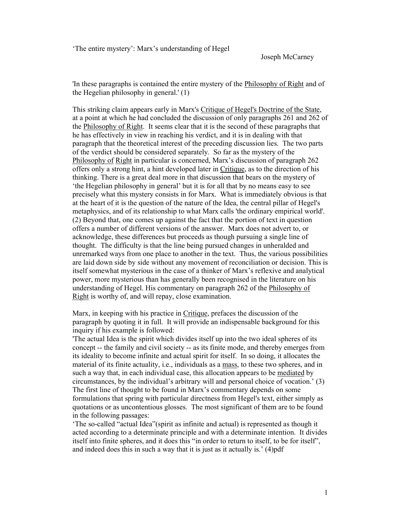'The entire mystery': Marx's understanding of Hegel

Joseph McCarney

'In these paragraphs is contained the entire mystery of the Philosophy of Right and of the Hegelian philosophy in general.' (1)

This striking claim appears early in Marx's Critique of Hegel's Doctrine of the State, at a point at which he had concluded the discussion of only paragraphs 261 and 262 of the Philosophy of Right. It seems clear that it is the second of these paragraphs that he has effectively in view in reaching his verdict, and it is in dealing with that paragraph that the theoretical interest of the preceding discussion lies. The two parts of the verdict should be considered separately. So far as the mystery of the Philosophy of Right in particular is concerned, Marx's discussion of paragraph 262 offers only a strong hint, a hint developed later in Critique, as to the direction of his thinking. There is a great deal more in that discussion that bears on the mystery of 'the Hegelian philosophy in general' but it is for all that by no means easy to see precisely what this mystery consists in for Marx. What is immediately obvious is that at the heart of it is the question of the nature of the Idea, the central pillar of Hegel's metaphysics, and of its relationship to what Marx calls 'the ordinary empirical world'. (2) Beyond that, one comes up against the fact that the portion of text in question offers a number of different versions of the answer. Marx does not advert to, or acknowledge, these differences but proceeds as though pursuing a single line of thought. The difficulty is that the line being pursued changes in unheralded and unremarked ways from one place to another in the text. Thus, the various possibilities are laid down side by side without any movement of reconciliation or decision. This is itself somewhat mysterious in the case of a thinker of Marx's reflexive and analytical power, more mysterious than has generally been recognised in the literature on his understanding of Hegel. His commentary on paragraph 262 of the Philosophy of Right is worthy of, and will repay, close examination.

Marx, in keeping with his practice in Critique, prefaces the discussion of the paragraph by quoting it in full. It will provide an indispensable background for this inquiry if his example is followed:

'The actual Idea is the spirit which divides itself up into the two ideal spheres of its concept -- the family and civil society -- as its finite mode, and thereby emerges from its ideality to become infinite and actual spirit for itself. In so doing, it allocates the material of its finite actuality, i.e., individuals as a mass, to these two spheres, and in such a way that, in each individual case, this allocation appears to be mediated by circumstances, by the individual's arbitrary will and personal choice of vocation.' (3) The first line of thought to be found in Marx's commentary depends on some formulations that spring with particular directness from Hegel's text, either simply as quotations or as uncontentious glosses. The most significant of them are to be found in the following passages:

'The so-called "actual Idea"(spirit as infinite and actual) is represented as though it acted according to a determinate principle and with a determinate intention. It divides itself into finite spheres, and it does this "in order to return to itself, to be for itself", and indeed does this in such a way that it is just as it actually is.' (4)pdf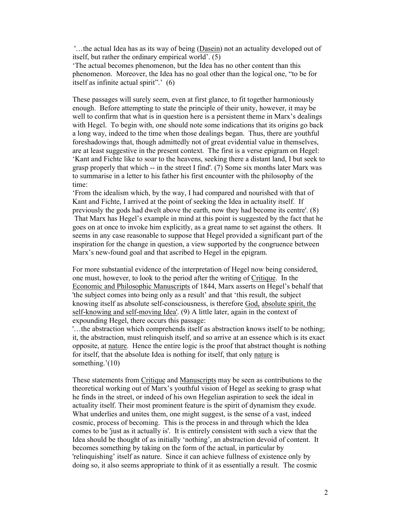'…the actual Idea has as its way of being (Dasein) not an actuality developed out of itself, but rather the ordinary empirical world'. (5)

'The actual becomes phenomenon, but the Idea has no other content than this phenomenon. Moreover, the Idea has no goal other than the logical one, "to be for itself as infinite actual spirit".' (6)

These passages will surely seem, even at first glance, to fit together harmoniously enough. Before attempting to state the principle of their unity, however, it may be well to confirm that what is in question here is a persistent theme in Marx's dealings with Hegel. To begin with, one should note some indications that its origins go back a long way, indeed to the time when those dealings began. Thus, there are youthful foreshadowings that, though admittedly not of great evidential value in themselves, are at least suggestive in the present context. The first is a verse epigram on Hegel: 'Kant and Fichte like to soar to the heavens, seeking there a distant land, I but seek to grasp properly that which -- in the street I find'. (7) Some six months later Marx was to summarise in a letter to his father his first encounter with the philosophy of the time:

'From the idealism which, by the way, I had compared and nourished with that of Kant and Fichte, I arrived at the point of seeking the Idea in actuality itself. If previously the gods had dwelt above the earth, now they had become its centre'. (8) That Marx has Hegel's example in mind at this point is suggested by the fact that he goes on at once to invoke him explicitly, as a great name to set against the others. It seems in any case reasonable to suppose that Hegel provided a significant part of the inspiration for the change in question, a view supported by the congruence between Marx's new-found goal and that ascribed to Hegel in the epigram.

For more substantial evidence of the interpretation of Hegel now being considered, one must, however, to look to the period after the writing of Critique. In the Economic and Philosophic Manuscripts of 1844, Marx asserts on Hegel's behalf that 'the subject comes into being only as a result' and that 'this result, the subject knowing itself as absolute self-consciousness, is therefore God, absolute spirit, the self-knowing and self-moving Idea'. (9) A little later, again in the context of expounding Hegel, there occurs this passage:

'…the abstraction which comprehends itself as abstraction knows itself to be nothing; it, the abstraction, must relinquish itself, and so arrive at an essence which is its exact opposite, at nature. Hence the entire logic is the proof that abstract thought is nothing for itself, that the absolute Idea is nothing for itself, that only nature is something.'(10)

These statements from Critique and Manuscripts may be seen as contributions to the theoretical working out of Marx's youthful vision of Hegel as seeking to grasp what he finds in the street, or indeed of his own Hegelian aspiration to seek the ideal in actuality itself. Their most prominent feature is the spirit of dynamism they exude. What underlies and unites them, one might suggest, is the sense of a vast, indeed cosmic, process of becoming. This is the process in and through which the Idea comes to be 'just as it actually is'. It is entirely consistent with such a view that the Idea should be thought of as initially 'nothing', an abstraction devoid of content. It becomes something by taking on the form of the actual, in particular by 'relinquishing' itself as nature. Since it can achieve fullness of existence only by doing so, it also seems appropriate to think of it as essentially a result. The cosmic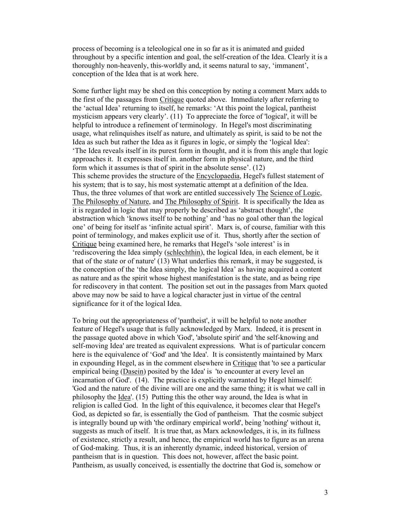process of becoming is a teleological one in so far as it is animated and guided throughout by a specific intention and goal, the self-creation of the Idea. Clearly it is a thoroughly non-heavenly, this-worldly and, it seems natural to say, 'immanent', conception of the Idea that is at work here.

Some further light may be shed on this conception by noting a comment Marx adds to the first of the passages from Critique quoted above. Immediately after referring to the 'actual Idea' returning to itself, he remarks: 'At this point the logical, pantheist mysticism appears very clearly'. (11) To appreciate the force of 'logical', it will be helpful to introduce a refinement of terminology. In Hegel's most discriminating usage, what relinquishes itself as nature, and ultimately as spirit, is said to be not the Idea as such but rather the Idea as it figures in logic, or simply the 'logical Idea': 'The Idea reveals itself in its purest form in thought, and it is from this angle that logic approaches it. It expresses itself in. another form in physical nature, and the third form which it assumes is that of spirit in the absolute sense'. (12) This scheme provides the structure of the Encyclopaedia, Hegel's fullest statement of his system; that is to say, his most systematic attempt at a definition of the Idea. Thus, the three volumes of that work are entitled successively The Science of Logic, The Philosophy of Nature, and The Philosophy of Spirit. It is specifically the Idea as it is regarded in logic that may properly be described as 'abstract thought', the abstraction which 'knows itself to be nothing' and 'has no goal other than the logical one' of being for itself as 'infinite actual spirit'. Marx is, of course, familiar with this point of terminology, and makes explicit use of it. Thus, shortly after the section of Critique being examined here, he remarks that Hegel's 'sole interest' is in 'rediscovering the Idea simply (schlechthin), the logical Idea, in each element, be it that of the state or of nature' (13) What underlies this remark, it may be suggested, is the conception of the 'the Idea simply, the logical Idea' as having acquired a content as nature and as the spirit whose highest manifestation is the state, and as being ripe for rediscovery in that content. The position set out in the passages from Marx quoted above may now be said to have a logical character just in virtue of the central significance for it of the logical Idea.

To bring out the appropriateness of 'pantheist', it will be helpful to note another feature of Hegel's usage that is fully acknowledged by Marx. Indeed, it is present in the passage quoted above in which 'God', 'absolute spirit' and 'the self-knowing and self-moving Idea' are treated as equivalent expressions. What is of particular concern here is the equivalence of 'God' and 'the Idea'. It is consistently maintained by Marx in expounding Hegel, as in the comment elsewhere in Critique that 'to see a particular empirical being (Dasein) posited by the Idea' is 'to encounter at every level an incarnation of God'. (14). The practice is explicitly warranted by Hegel himself: 'God and the nature of the divine will are one and the same thing; it is what we call in philosophy the Idea'. (15) Putting this the other way around, the Idea is what in religion is called God. In the light of this equivalence, it becomes clear that Hegel's God, as depicted so far, is essentially the God of pantheism. That the cosmic subject is integrally bound up with 'the ordinary empirical world', being 'nothing' without it, suggests as much of itself. It is true that, as Marx acknowledges, it is, in its fullness of existence, strictly a result, and hence, the empirical world has to figure as an arena of God-making. Thus, it is an inherently dynamic, indeed historical, version of pantheism that is in question. This does not, however, affect the basic point. Pantheism, as usually conceived, is essentially the doctrine that God is, somehow or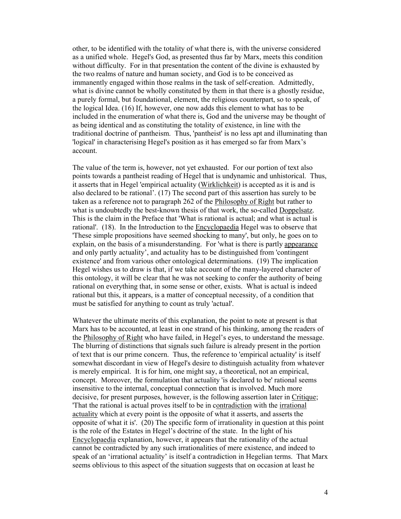other, to be identified with the totality of what there is, with the universe considered as a unified whole. Hegel's God, as presented thus far by Marx, meets this condition without difficulty. For in that presentation the content of the divine is exhausted by the two realms of nature and human society, and God is to be conceived as immanently engaged within those realms in the task of self-creation. Admittedly, what is divine cannot be wholly constituted by them in that there is a ghostly residue, a purely formal, but foundational, element, the religious counterpart, so to speak, of the logical Idea. (16) If, however, one now adds this element to what has to be included in the enumeration of what there is, God and the universe may be thought of as being identical and as constituting the totality of existence, in line with the traditional doctrine of pantheism. Thus, 'pantheist' is no less apt and illuminating than 'logical' in characterising Hegel's position as it has emerged so far from Marx's account.

The value of the term is, however, not yet exhausted. For our portion of text also points towards a pantheist reading of Hegel that is undynamic and unhistorical. Thus, it asserts that in Hegel 'empirical actuality (Wirklichkeit) is accepted as it is and is also declared to be rational'. (17) The second part of this assertion has surely to be taken as a reference not to paragraph 262 of the Philosophy of Right but rather to what is undoubtedly the best-known thesis of that work, the so-called Doppelsatz. This is the claim in the Preface that 'What is rational is actual; and what is actual is rational'. (18). In the Introduction to the Encyclopaedia Hegel was to observe that 'These simple propositions have seemed shocking to many', but only, he goes on to explain, on the basis of a misunderstanding. For 'what is there is partly appearance and only partly actuality', and actuality has to be distinguished from 'contingent existence' and from various other ontological determinations. (19) The implication Hegel wishes us to draw is that, if we take account of the many-layered character of this ontology, it will be clear that he was not seeking to confer the authority of being rational on everything that, in some sense or other, exists. What is actual is indeed rational but this, it appears, is a matter of conceptual necessity, of a condition that must be satisfied for anything to count as truly 'actual'.

Whatever the ultimate merits of this explanation, the point to note at present is that Marx has to be accounted, at least in one strand of his thinking, among the readers of the Philosophy of Right who have failed, in Hegel's eyes, to understand the message. The blurring of distinctions that signals such failure is already present in the portion of text that is our prime concern. Thus, the reference to 'empirical actuality' is itself somewhat discordant in view of Hegel's desire to distinguish actuality from whatever is merely empirical. It is for him, one might say, a theoretical, not an empirical, concept. Moreover, the formulation that actuality 'is declared to be' rational seems insensitive to the internal, conceptual connection that is involved. Much more decisive, for present purposes, however, is the following assertion later in Critique; 'That the rational is actual proves itself to be in contradiction with the irrational actuality which at every point is the opposite of what it asserts, and asserts the opposite of what it is'. (20) The specific form of irrationality in question at this point is the role of the Estates in Hegel's doctrine of the state. In the light of his Encyclopaedia explanation, however, it appears that the rationality of the actual cannot be contradicted by any such irrationalities of mere existence, and indeed to speak of an 'irrational actuality' is itself a contradiction in Hegelian terms. That Marx seems oblivious to this aspect of the situation suggests that on occasion at least he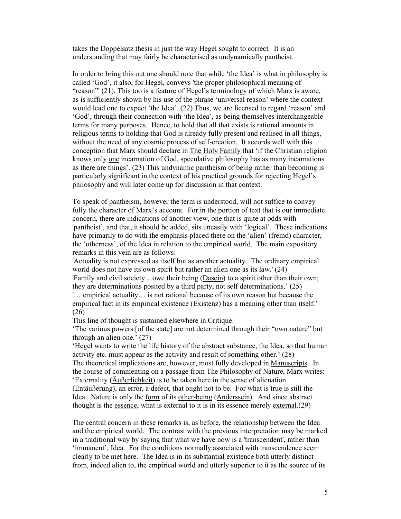takes the Doppelsatz thesis in just the way Hegel sought to correct. It is an understanding that may fairly be characterised as undynamically pantheist.

In order to bring this out one should note that while 'the Idea' is what in philosophy is called 'God', it also, for Hegel, conveys 'the proper philosophical meaning of "reason"' (21). This too is a feature of Hegel's terminology of which Marx is aware, as is sufficiently shown by his use of the phrase 'universal reason' where the context would lead one to expect 'the Idea'. (22) Thus, we are licensed to regard 'reason' and 'God', through their connection with 'the Idea', as being themselves interchangeable terms for many purposes. Hence, to hold that all that exists is rational amounts in religious terms to holding that God is already fully present and realised in all things, without the need of any cosmic process of self-creation. It accords well with this conception that Marx should declare in The Holy Family that 'if the Christian religion knows only one incarnation of God, speculative philosophy has as many incarnations as there are things'. (23) This undynamic pantheism of being rather than becoming is particularly significant in the context of his practical grounds for rejecting Hegel's philosophy and will later come up for discussion in that context.

To speak of pantheism, however the term is understood, will not suffice to convey fully the character of Marx's account. For in the portion of text that is our immediate concern, there are indications of another view, one that is quite at odds with 'pantheist', and that, it should be added, sits uneasily with 'logical'. These indications have primarily to do with the emphasis placed there on the 'alien' (fremd) character, the 'otherness', of the Idea in relation to the empirical world. The main expository remarks in this vein are as follows:

'Actuality is not expressed as itself but as another actuality. The ordinary empirical world does not have its own spirit but rather an alien one as its law.' (24) 'Family and civil society…owe their being (Dasein) to a spirit other than their own; they are determinations posited by a third party, not self determinations.' (25) '… empirical actuality… is not rational because of its own reason but because the empirical fact in its empirical existence (Existenz) has a meaning other than itself.' (26)

This line of thought is sustained elsewhere in Critique:

'The various powers [of the state] are not determined through their "own nature" but through an alien one.' (27)

'Hegel wants to write the life history of the abstract substance, the Idea, so that human activity etc. must appear as the activity and result of something other.' (28) The theoretical implications are, however, most fully developed in Manuscripts. In the course of commenting on a passage from The Philosophy of Nature, Marx writes: 'Externality (Äußerlichkeit) is to be taken here in the sense of alienation (Entäußerung), an error, a defect, that ought not to be. For what is true is still the Idea. Nature is only the form of its other-being (Anderssein). And since abstract thought is the essence, what is external to it is in its essence merely external.(29)

The central concern in these remarks is, as before, the relationship between the Idea and the empirical world. The contrast with the previous interpretation may be marked in a traditional way by saying that what we have now is a 'transcendent', rather than 'immanent', Idea. For the conditions normally associated with transcendence seem clearly to be met here. The Idea is in its substantial existence both utterly distinct from, indeed alien to, the empirical world and utterly superior to it as the source of its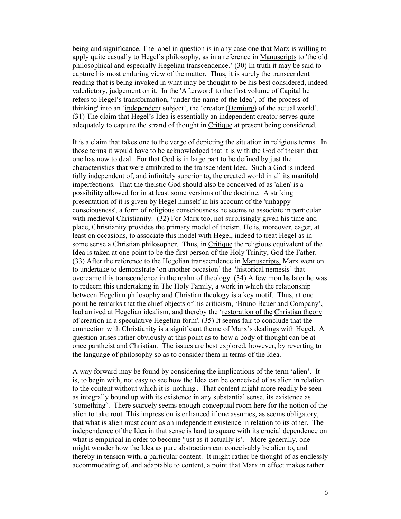being and significance. The label in question is in any case one that Marx is willing to apply quite casually to Hegel's philosophy, as in a reference in Manuscripts to 'the old philosophical and especially Hegelian transcendence.' (30) In truth it may be said to capture his most enduring view of the matter. Thus, it is surely the transcendent reading that is being invoked in what may be thought to be his best considered, indeed valedictory, judgement on it. In the 'Afterword' to the first volume of Capital he refers to Hegel's transformation, 'under the name of the Idea', of 'the process of thinking' into an 'independent subject', the 'creator (Demiurg) of the actual world'. (31) The claim that Hegel's Idea is essentially an independent creator serves quite adequately to capture the strand of thought in Critique at present being considered.

It is a claim that takes one to the verge of depicting the situation in religious terms. In those terms it would have to be acknowledged that it is with the God of theism that one has now to deal. For that God is in large part to be defined by just the characteristics that were attributed to the transcendent Idea. Such a God is indeed fully independent of, and infinitely superior to, the created world in all its manifold imperfections. That the theistic God should also be conceived of as 'alien' is a possibility allowed for in at least some versions of the doctrine. A striking presentation of it is given by Hegel himself in his account of the 'unhappy consciousness', a form of religious consciousness he seems to associate in particular with medieval Christianity. (32) For Marx too, not surprisingly given his time and place, Christianity provides the primary model of theism. He is, moreover, eager, at least on occasions, to associate this model with Hegel, indeed to treat Hegel as in some sense a Christian philosopher. Thus, in Critique the religious equivalent of the Idea is taken at one point to be the first person of the Holy Trinity, God the Father. (33) After the reference to the Hegelian transcendence in Manuscripts, Marx went on to undertake to demonstrate 'on another occasion' the 'historical nemesis' that overcame this transcendence in the realm of theology. (34) A few months later he was to redeem this undertaking in The Holy Family, a work in which the relationship between Hegelian philosophy and Christian theology is a key motif. Thus, at one point he remarks that the chief objects of his criticism, 'Bruno Bauer and Company', had arrived at Hegelian idealism, and thereby the 'restoration of the Christian theory of creation in a speculative Hegelian form'. (35) It seems fair to conclude that the connection with Christianity is a significant theme of Marx's dealings with Hegel. A question arises rather obviously at this point as to how a body of thought can be at once pantheist and Christian. The issues are best explored, however, by reverting to the language of philosophy so as to consider them in terms of the Idea.

A way forward may be found by considering the implications of the term 'alien'. It is, to begin with, not easy to see how the Idea can be conceived of as alien in relation to the content without which it is 'nothing'. That content might more readily be seen as integrally bound up with its existence in any substantial sense, its existence as 'something'. There scarcely seems enough conceptual room here for the notion of the alien to take root. This impression is enhanced if one assumes, as seems obligatory, that what is alien must count as an independent existence in relation to its other. The independence of the Idea in that sense is hard to square with its crucial dependence on what is empirical in order to become 'just as it actually is'. More generally, one might wonder how the Idea as pure abstraction can conceivably be alien to, and thereby in tension with, a particular content. It might rather be thought of as endlessly accommodating of, and adaptable to content, a point that Marx in effect makes rather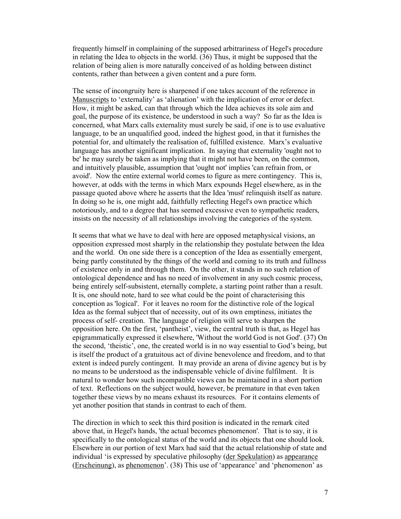frequently himself in complaining of the supposed arbitrariness of Hegel's procedure in relating the Idea to objects in the world. (36) Thus, it might be supposed that the relation of being alien is more naturally conceived of as holding between distinct contents, rather than between a given content and a pure form.

The sense of incongruity here is sharpened if one takes account of the reference in Manuscripts to 'externality' as 'alienation' with the implication of error or defect. How, it might be asked, can that through which the Idea achieves its sole aim and goal, the purpose of its existence, be understood in such a way? So far as the Idea is concerned, what Marx calls externality must surely be said, if one is to use evaluative language, to be an unqualified good, indeed the highest good, in that it furnishes the potential for, and ultimately the realisation of, fulfilled existence. Marx's evaluative language has another significant implication. In saying that externality 'ought not to be' he may surely be taken as implying that it might not have been, on the common, and intuitively plausible, assumption that 'ought not' implies 'can refrain from, or avoid'. Now the entire external world comes to figure as mere contingency. This is, however, at odds with the terms in which Marx expounds Hegel elsewhere, as in the passage quoted above where he asserts that the Idea 'must' relinquish itself as nature. In doing so he is, one might add, faithfully reflecting Hegel's own practice which notoriously, and to a degree that has seemed excessive even to sympathetic readers, insists on the necessity of all relationships involving the categories of the system.

It seems that what we have to deal with here are opposed metaphysical visions, an opposition expressed most sharply in the relationship they postulate between the Idea and the world. On one side there is a conception of the Idea as essentially emergent, being partly constituted by the things of the world and coming to its truth and fullness of existence only in and through them. On the other, it stands in no such relation of ontological dependence and has no need of involvement in any such cosmic process, being entirely self-subsistent, eternally complete, a starting point rather than a result. It is, one should note, hard to see what could be the point of characterising this conception as 'logical'. For it leaves no room for the distinctive role of the logical Idea as the formal subject that of necessity, out of its own emptiness, initiates the process of self- creation. The language of religion will serve to sharpen the opposition here. On the first, 'pantheist', view, the central truth is that, as Hegel has epigrammatically expressed it elsewhere, 'Without the world God is not God'. (37) On the second, 'theistic', one, the created world is in no way essential to God's being, but is itself the product of a gratuitous act of divine benevolence and freedom, and to that extent is indeed purely contingent. It may provide an arena of divine agency but is by no means to be understood as the indispensable vehicle of divine fulfilment. It is natural to wonder how such incompatible views can be maintained in a short portion of text. Reflections on the subject would, however, be premature in that even taken together these views by no means exhaust its resources. For it contains elements of yet another position that stands in contrast to each of them.

The direction in which to seek this third position is indicated in the remark cited above that, in Hegel's hands, 'the actual becomes phenomenon'. That is to say, it is specifically to the ontological status of the world and its objects that one should look. Elsewhere in our portion of text Marx had said that the actual relationship of state and individual 'is expressed by speculative philosophy (der Spekulation) as appearance (Erscheinung), as phenomenon'. (38) This use of 'appearance' and 'phenomenon' as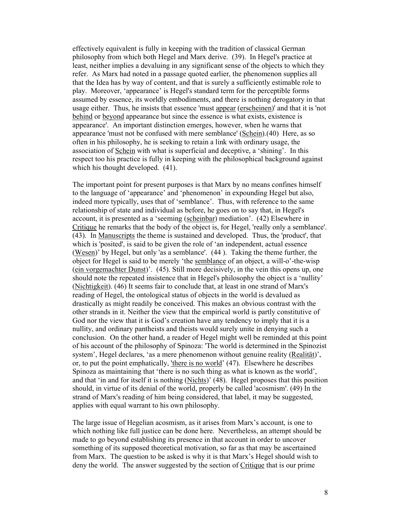effectively equivalent is fully in keeping with the tradition of classical German philosophy from which both Hegel and Marx derive. (39). In Hegel's practice at least, neither implies a devaluing in any significant sense of the objects to which they refer. As Marx had noted in a passage quoted earlier, the phenomenon supplies all that the Idea has by way of content, and that is surely a sufficiently estimable role to play. Moreover, 'appearance' is Hegel's standard term for the perceptible forms assumed by essence, its worldly embodiments, and there is nothing derogatory in that usage either. Thus, he insists that essence 'must appear (erscheinen)' and that it is 'not behind or beyond appearance but since the essence is what exists, existence is appearance'. An important distinction emerges, however, when he warns that appearance 'must not be confused with mere semblance' (Schein).(40) Here, as so often in his philosophy, he is seeking to retain a link with ordinary usage, the association of Schein with what is superficial and deceptive, a 'shining'. In this respect too his practice is fully in keeping with the philosophical background against which his thought developed. (41).

The important point for present purposes is that Marx by no means confines himself to the language of 'appearance' and 'phenomenon' in expounding Hegel but also, indeed more typically, uses that of 'semblance'. Thus, with reference to the same relationship of state and individual as before, he goes on to say that, in Hegel's account, it is presented as a 'seeming (scheinbar) mediation'. (42) Elsewhere in Critique he remarks that the body of the object is, for Hegel, 'really only a semblance'. (43). In Manuscripts the theme is sustained and developed. Thus, the 'product', that which is 'posited', is said to be given the role of 'an independent, actual essence (Wesen)' by Hegel, but only 'as a semblance'. (44 ). Taking the theme further, the object for Hegel is said to be merely 'the semblance of an object, a will-o'-the-wisp (ein vorgemachter Dunst)'. (45). Still more decisively, in the vein this opens up, one should note the repeated insistence that in Hegel's philosophy the object is a 'nullity' (Nichtigkeit). (46) It seems fair to conclude that, at least in one strand of Marx's reading of Hegel, the ontological status of objects in the world is devalued as drastically as might readily be conceived. This makes an obvious contrast with the other strands in it. Neither the view that the empirical world is partly constitutive of God nor the view that it is God's creation have any tendency to imply that it is a nullity, and ordinary pantheists and theists would surely unite in denying such a conclusion. On the other hand, a reader of Hegel might well be reminded at this point of his account of the philosophy of Spinoza: 'The world is determined in the Spinozist system', Hegel declares, 'as a mere phenomenon without genuine reality (Realität)', or, to put the point emphatically, 'there is no world' (47). Elsewhere he describes Spinoza as maintaining that 'there is no such thing as what is known as the world', and that 'in and for itself it is nothing (Nichts)' (48). Hegel proposes that this position should, in virtue of its denial of the world, properly be called 'acosmism'. (49) In the strand of Marx's reading of him being considered, that label, it may be suggested, applies with equal warrant to his own philosophy.

The large issue of Hegelian acosmism, as it arises from Marx's account, is one to which nothing like full justice can be done here. Nevertheless, an attempt should be made to go beyond establishing its presence in that account in order to uncover something of its supposed theoretical motivation, so far as that may be ascertained from Marx. The question to be asked is why it is that Marx's Hegel should wish to deny the world. The answer suggested by the section of Critique that is our prime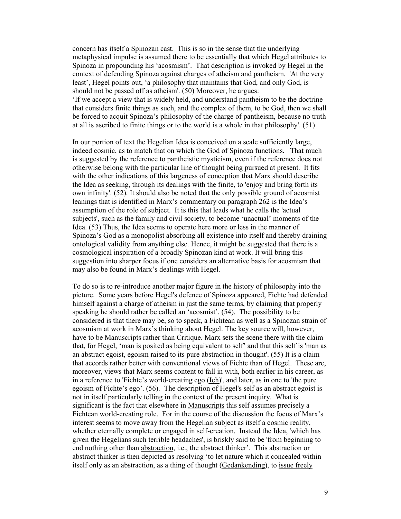concern has itself a Spinozan cast. This is so in the sense that the underlying metaphysical impulse is assumed there to be essentially that which Hegel attributes to Spinoza in propounding his 'acosmism'. That description is invoked by Hegel in the context of defending Spinoza against charges of atheism and pantheism. 'At the very least', Hegel points out, 'a philosophy that maintains that God, and only God, is should not be passed off as atheism'. (50) Moreover, he argues:

'If we accept a view that is widely held, and understand pantheism to be the doctrine that considers finite things as such, and the complex of them, to be God, then we shall be forced to acquit Spinoza's philosophy of the charge of pantheism, because no truth at all is ascribed to finite things or to the world is a whole in that philosophy'. (51)

In our portion of text the Hegelian Idea is conceived on a scale sufficiently large, indeed cosmic, as to match that on which the God of Spinoza functions. That much is suggested by the reference to pantheistic mysticism, even if the reference does not otherwise belong with the particular line of thought being pursued at present. It fits with the other indications of this largeness of conception that Marx should describe the Idea as seeking, through its dealings with the finite, to 'enjoy and bring forth its own infinity'. (52). It should also be noted that the only possible ground of acosmist leanings that is identified in Marx's commentary on paragraph 262 is the Idea's assumption of the role of subject. It is this that leads what he calls the 'actual subjects', such as the family and civil society, to become 'unactual' moments of the Idea. (53) Thus, the Idea seems to operate here more or less in the manner of Spinoza's God as a monopolist absorbing all existence into itself and thereby draining ontological validity from anything else. Hence, it might be suggested that there is a cosmological inspiration of a broadly Spinozan kind at work. It will bring this suggestion into sharper focus if one considers an alternative basis for acosmism that may also be found in Marx's dealings with Hegel.

To do so is to re-introduce another major figure in the history of philosophy into the picture. Some years before Hegel's defence of Spinoza appeared, Fichte had defended himself against a charge of atheism in just the same terms, by claiming that properly speaking he should rather be called an 'acosmist'. (54). The possibility to be considered is that there may be, so to speak, a Fichtean as well as a Spinozan strain of acosmism at work in Marx's thinking about Hegel. The key source will, however, have to be Manuscripts rather than Critique. Marx sets the scene there with the claim that, for Hegel, 'man is posited as being equivalent to self' and that this self is 'man as an abstract egoist, egoism raised to its pure abstraction in thought'. (55) It is a claim that accords rather better with conventional views of Fichte than of Hegel. These are, moreover, views that Marx seems content to fall in with, both earlier in his career, as in a reference to 'Fichte's world-creating ego (Ich)', and later, as in one to 'the pure egoism of Fichte's ego'. (56). The description of Hegel's self as an abstract egoist is not in itself particularly telling in the context of the present inquiry. What is significant is the fact that elsewhere in Manuscripts this self assumes precisely a Fichtean world-creating role. For in the course of the discussion the focus of Marx's interest seems to move away from the Hegelian subject as itself a cosmic reality, whether eternally complete or engaged in self-creation. Instead the Idea, 'which has given the Hegelians such terrible headaches', is briskly said to be 'from beginning to end nothing other than abstraction, i.e., the abstract thinker'. This abstraction or abstract thinker is then depicted as resolving 'to let nature which it concealed within itself only as an abstraction, as a thing of thought (Gedankending), to issue freely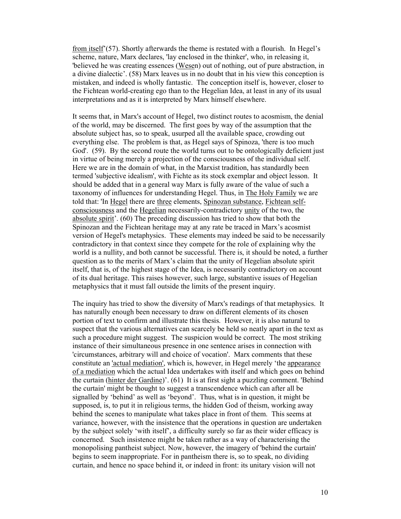from itself'(57). Shortly afterwards the theme is restated with a flourish. In Hegel's scheme, nature, Marx declares, 'lay enclosed in the thinker', who, in releasing it, 'believed he was creating essences (Wesen) out of nothing, out of pure abstraction, in a divine dialectic'. (58) Marx leaves us in no doubt that in his view this conception is mistaken, and indeed is wholly fantastic. The conception itself is, however, closer to the Fichtean world-creating ego than to the Hegelian Idea, at least in any of its usual interpretations and as it is interpreted by Marx himself elsewhere.

It seems that, in Marx's account of Hegel, two distinct routes to acosmism, the denial of the world, may be discerned. The first goes by way of the assumption that the absolute subject has, so to speak, usurped all the available space, crowding out everything else. The problem is that, as Hegel says of Spinoza, 'there is too much God'. (59). By the second route the world turns out to be ontologically deficient just in virtue of being merely a projection of the consciousness of the individual self. Here we are in the domain of what, in the Marxist tradition, has standardly been termed 'subjective idealism', with Fichte as its stock exemplar and object lesson. It should be added that in a general way Marx is fully aware of the value of such a taxonomy of influences for understanding Hegel. Thus, in The Holy Family we are told that: 'In Hegel there are three elements, Spinozan substance, Fichtean selfconsciousness and the Hegelian necessarily-contradictory unity of the two, the absolute spirit'. (60) The preceding discussion has tried to show that both the Spinozan and the Fichtean heritage may at any rate be traced in Marx's acosmist version of Hegel's metaphysics. These elements may indeed be said to be necessarily contradictory in that context since they compete for the role of explaining why the world is a nullity, and both cannot be successful. There is, it should be noted, a further question as to the merits of Marx's claim that the unity of Hegelian absolute spirit itself, that is, of the highest stage of the Idea, is necessarily contradictory on account of its dual heritage. This raises however, such large, substantive issues of Hegelian metaphysics that it must fall outside the limits of the present inquiry.

The inquiry has tried to show the diversity of Marx's readings of that metaphysics. It has naturally enough been necessary to draw on different elements of its chosen portion of text to confirm and illustrate this thesis. However, it is also natural to suspect that the various alternatives can scarcely be held so neatly apart in the text as such a procedure might suggest. The suspicion would be correct. The most striking instance of their simultaneous presence in one sentence arises in connection with 'circumstances, arbitrary will and choice of vocation'. Marx comments that these constitute an 'actual mediation', which is, however, in Hegel merely 'the appearance of a mediation which the actual Idea undertakes with itself and which goes on behind the curtain (hinter der Gardine)'. (61) It is at first sight a puzzling comment. 'Behind the curtain' might be thought to suggest a transcendence which can after all be signalled by 'behind' as well as 'beyond'. Thus, what is in question, it might be supposed, is, to put it in religious terms, the hidden God of theism, working away behind the scenes to manipulate what takes place in front of them. This seems at variance, however, with the insistence that the operations in question are undertaken by the subject solely 'with itself', a difficulty surely so far as their wider efficacy is concerned. Such insistence might be taken rather as a way of characterising the monopolising pantheist subject. Now, however, the imagery of 'behind the curtain' begins to seem inappropriate. For in pantheism there is, so to speak, no dividing curtain, and hence no space behind it, or indeed in front: its unitary vision will not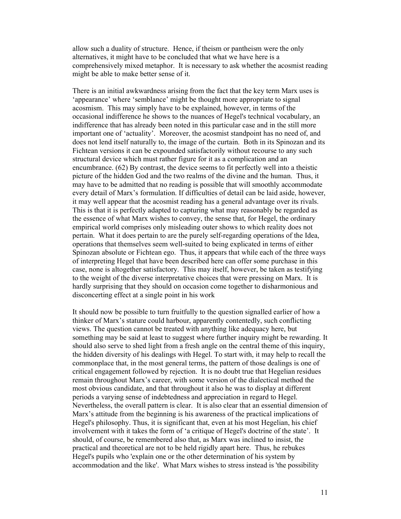allow such a duality of structure. Hence, if theism or pantheism were the only alternatives, it might have to be concluded that what we have here is a comprehensively mixed metaphor. It is necessary to ask whether the acosmist reading might be able to make better sense of it.

There is an initial awkwardness arising from the fact that the key term Marx uses is 'appearance' where 'semblance' might be thought more appropriate to signal acosmism. This may simply have to be explained, however, in terms of the occasional indifference he shows to the nuances of Hegel's technical vocabulary, an indifference that has already been noted in this particular case and in the still more important one of 'actuality'. Moreover, the acosmist standpoint has no need of, and does not lend itself naturally to, the image of the curtain. Both in its Spinozan and its Fichtean versions it can be expounded satisfactorily without recourse to any such structural device which must rather figure for it as a complication and an encumbrance. (62) By contrast, the device seems to fit perfectly well into a theistic picture of the hidden God and the two realms of the divine and the human. Thus, it may have to be admitted that no reading is possible that will smoothly accommodate every detail of Marx's formulation. If difficulties of detail can be laid aside, however, it may well appear that the acosmist reading has a general advantage over its rivals. This is that it is perfectly adapted to capturing what may reasonably be regarded as the essence of what Marx wishes to convey, the sense that, for Hegel, the ordinary empirical world comprises only misleading outer shows to which reality does not pertain. What it does pertain to are the purely self-regarding operations of the Idea, operations that themselves seem well-suited to being explicated in terms of either Spinozan absolute or Fichtean ego. Thus, it appears that while each of the three ways of interpreting Hegel that have been described here can offer some purchase in this case, none is altogether satisfactory. This may itself, however, be taken as testifying to the weight of the diverse interpretative choices that were pressing on Marx. It is hardly surprising that they should on occasion come together to disharmonious and disconcerting effect at a single point in his work

It should now be possible to turn fruitfully to the question signalled earlier of how a thinker of Marx's stature could harbour, apparently contentedly, such conflicting views. The question cannot be treated with anything like adequacy here, but something may be said at least to suggest where further inquiry might be rewarding. It should also serve to shed light from a fresh angle on the central theme of this inquiry, the hidden diversity of his dealings with Hegel. To start with, it may help to recall the commonplace that, in the most general terms, the pattern of those dealings is one of critical engagement followed by rejection. It is no doubt true that Hegelian residues remain throughout Marx's career, with some version of the dialectical method the most obvious candidate, and that throughout it also he was to display at different periods a varying sense of indebtedness and appreciation in regard to Hegel. Nevertheless, the overall pattern is clear. It is also clear that an essential dimension of Marx's attitude from the beginning is his awareness of the practical implications of Hegel's philosophy. Thus, it is significant that, even at his most Hegelian, his chief involvement with it takes the form of 'a critique of Hegel's doctrine of the state'. It should, of course, be remembered also that, as Marx was inclined to insist, the practical and theoretical are not to be held rigidly apart here. Thus, he rebukes Hegel's pupils who 'explain one or the other determination of his system by accommodation and the like'. What Marx wishes to stress instead is 'the possibility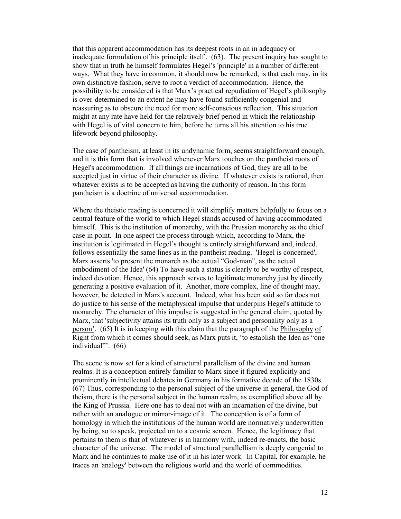that this apparent accommodation has its deepest roots in an in adequacy or inadequate formulation of his principle itself'. (63). The present inquiry has sought to show that in truth he himself formulates Hegel's 'principle' in a number of different ways. What they have in common, it should now be remarked, is that each may, in its own distinctive fashion, serve to root a verdict of accommodation. Hence, the possibility to be considered is that Marx's practical repudiation of Hegel's philosophy is over-determined to an extent he may have found sufficiently congenial and reassuring as to obscure the need for more self-conscious reflection. This situation might at any rate have held for the relatively brief period in which the relationship with Hegel is of vital concern to him, before he turns all his attention to his true lifework beyond philosophy.

The case of pantheism, at least in its undynamic form, seems straightforward enough, and it is this form that is involved whenever Marx touches on the pantheist roots of Hegel's accommodation. If all things are incarnations of God, they are all to be accepted just in virtue of their character as divine. If whatever exists is rational, then whatever exists is to be accepted as having the authority of reason. In this form pantheism is a doctrine of universal accommodation.

Where the theistic reading is concerned it will simplify matters helpfully to focus on a central feature of the world to which Hegel stands accused of having accommodated himself. This is the institution of monarchy, with the Prussian monarchy as the chief case in point. In one aspect the process through which, according to Marx, the institution is legitimated in Hegel's thought is entirely straightforward and, indeed, follows essentially the same lines as in the pantheist reading. 'Hegel is concerned', Marx asserts 'to present the monarch as the actual "God-man", as the actual embodiment of the Idea' (64) To have such a status is clearly to be worthy of respect, indeed devotion. Hence, this approach serves to legitimate monarchy just by directly generating a positive evaluation of it. Another, more complex, line of thought may, however, be detected in Marx's account. Indeed, what has been said so far does not do justice to his sense of the metaphysical impulse that underpins Hegel's attitude to monarchy. The character of this impulse is suggested in the general claim, quoted by Marx, that 'subjectivity attains its truth only as a subject and personality only as a person'. (65) It is in keeping with this claim that the paragraph of the Philosophy of Right from which it comes should seek, as Marx puts it, 'to establish the Idea as "one individual"'. (66)

The scene is now set for a kind of structural parallelism of the divine and human realms. It is a conception entirely familiar to Marx since it figured explicitly and prominently in intellectual debates in Germany in his formative decade of the 1830s. (67) Thus, corresponding to the personal subject of the universe in general, the God of theism, there is the personal subject in the human realm, as exemplified above all by the King of Prussia. Here one has to deal not with an incarnation of the divine, but rather with an analogue or mirror-image of it. The conception is of a form of homology in which the institutions of the human world are normatively underwritten by being, so to speak, projected on to a cosmic screen. Hence, the legitimacy that pertains to them is that of whatever is in harmony with, indeed re-enacts, the basic character of the universe. The model of structural parallellism is deeply congenial to Marx and he continues to make use of it in his later work. In Capital, for example, he traces an 'analogy' between the religious world and the world of commodities.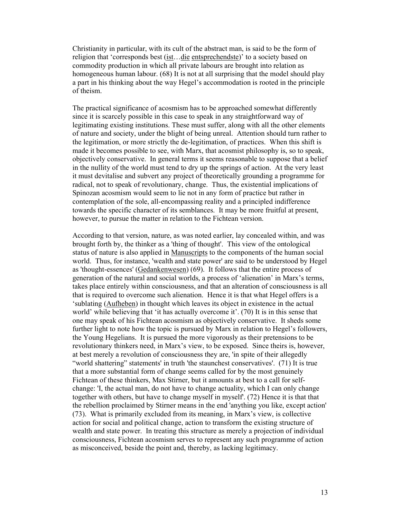Christianity in particular, with its cult of the abstract man, is said to be the form of religion that 'corresponds best (ist...die entsprechendste)' to a society based on commodity production in which all private labours are brought into relation as homogeneous human labour. (68) It is not at all surprising that the model should play a part in his thinking about the way Hegel's accommodation is rooted in the principle of theism.

The practical significance of acosmism has to be approached somewhat differently since it is scarcely possible in this case to speak in any straightforward way of legitimating existing institutions. These must suffer, along with all the other elements of nature and society, under the blight of being unreal. Attention should turn rather to the legitimation, or more strictly the de-legitimation, of practices. When this shift is made it becomes possible to see, with Marx, that acosmist philosophy is, so to speak, objectively conservative. In general terms it seems reasonable to suppose that a belief in the nullity of the world must tend to dry up the springs of action. At the very least it must devitalise and subvert any project of theoretically grounding a programme for radical, not to speak of revolutionary, change. Thus, the existential implications of Spinozan acosmism would seem to lie not in any form of practice but rather in contemplation of the sole, all-encompassing reality and a principled indifference towards the specific character of its semblances. It may be more fruitful at present, however, to pursue the matter in relation to the Fichtean version.

According to that version, nature, as was noted earlier, lay concealed within, and was brought forth by, the thinker as a 'thing of thought'. This view of the ontological status of nature is also applied in Manuscripts to the components of the human social world. Thus, for instance, 'wealth and state power' are said to be understood by Hegel as 'thought-essences' (Gedankenwesen) (69). It follows that the entire process of generation of the natural and social worlds, a process of 'alienation' in Marx's terms, takes place entirely within consciousness, and that an alteration of consciousness is all that is required to overcome such alienation. Hence it is that what Hegel offers is a 'sublating (Aufheben) in thought which leaves its object in existence in the actual world' while believing that 'it has actually overcome it'. (70) It is in this sense that one may speak of his Fichtean acosmism as objectively conservative. It sheds some further light to note how the topic is pursued by Marx in relation to Hegel's followers, the Young Hegelians. It is pursued the more vigorously as their pretensions to be revolutionary thinkers need, in Marx's view, to be exposed. Since theirs is, however, at best merely a revolution of consciousness they are, 'in spite of their allegedly "world shattering" statements' in truth 'the staunchest conservatives'. (71) It is true that a more substantial form of change seems called for by the most genuinely Fichtean of these thinkers, Max Stirner, but it amounts at best to a call for selfchange: 'I, the actual man, do not have to change actuality, which I can only change together with others, but have to change myself in myself'. (72) Hence it is that that the rebellion proclaimed by Stirner means in the end 'anything you like, except action' (73). What is primarily excluded from its meaning, in Marx's view, is collective action for social and political change, action to transform the existing structure of wealth and state power. In treating this structure as merely a projection of individual consciousness, Fichtean acosmism serves to represent any such programme of action as misconceived, beside the point and, thereby, as lacking legitimacy.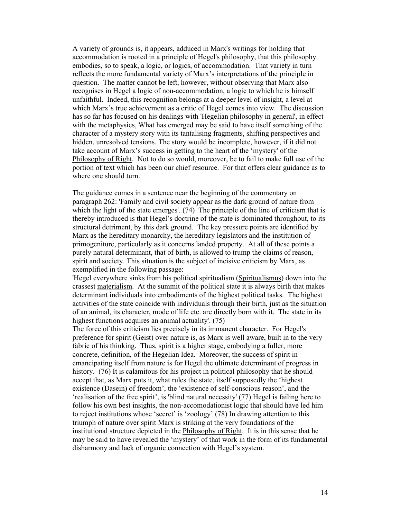A variety of grounds is, it appears, adduced in Marx's writings for holding that accommodation is rooted in a principle of Hegel's philosophy, that this philosophy embodies, so to speak, a logic, or logics, of accommodation. That variety in turn reflects the more fundamental variety of Marx's interpretations of the principle in question. The matter cannot be left, however, without observing that Marx also recognises in Hegel a logic of non-accommodation, a logic to which he is himself unfaithful. Indeed, this recognition belongs at a deeper level of insight, a level at which Marx's true achievement as a critic of Hegel comes into view. The discussion has so far has focused on his dealings with 'Hegelian philosophy in general', in effect with the metaphysics, What has emerged may be said to have itself something of the character of a mystery story with its tantalising fragments, shifting perspectives and hidden, unresolved tensions. The story would be incomplete, however, if it did not take account of Marx's success in getting to the heart of the 'mystery' of the Philosophy of Right. Not to do so would, moreover, be to fail to make full use of the portion of text which has been our chief resource. For that offers clear guidance as to where one should turn.

The guidance comes in a sentence near the beginning of the commentary on paragraph 262: 'Family and civil society appear as the dark ground of nature from which the light of the state emerges'. (74) The principle of the line of criticism that is thereby introduced is that Hegel's doctrine of the state is dominated throughout, to its structural detriment, by this dark ground. The key pressure points are identified by Marx as the hereditary monarchy, the hereditary legislators and the institution of primogeniture, particularly as it concerns landed property. At all of these points a purely natural determinant, that of birth, is allowed to trump the claims of reason, spirit and society. This situation is the subject of incisive criticism by Marx, as exemplified in the following passage:

'Hegel everywhere sinks from his political spiritualism (Spiritualismus) down into the crassest materialism. At the summit of the political state it is always birth that makes determinant individuals into embodiments of the highest political tasks. The highest activities of the state coincide with individuals through their birth, just as the situation of an animal, its character, mode of life etc. are directly born with it. The state in its highest functions acquires an animal actuality'. (75)

The force of this criticism lies precisely in its immanent character. For Hegel's preference for spirit (Geist) over nature is, as Marx is well aware, built in to the very fabric of his thinking. Thus, spirit is a higher stage, embodying a fuller, more concrete, definition, of the Hegelian Idea. Moreover, the success of spirit in emancipating itself from nature is for Hegel the ultimate determinant of progress in history. (76) It is calamitous for his project in political philosophy that he should accept that, as Marx puts it, what rules the state, itself supposedly the 'highest existence (Dasein) of freedom', the 'existence of self-conscious reason', and the 'realisation of the free spirit', is 'blind natural necessity' (77) Hegel is failing here to follow his own best insights, the non-accomodationist logic that should have led him to reject institutions whose 'secret' is 'zoology' (78) In drawing attention to this triumph of nature over spirit Marx is striking at the very foundations of the institutional structure depicted in the Philosophy of Right. It is in this sense that he may be said to have revealed the 'mystery' of that work in the form of its fundamental disharmony and lack of organic connection with Hegel's system.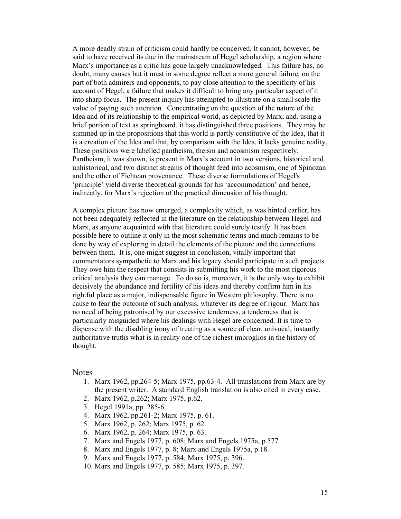A more deadly strain of criticism could hardly be conceived. It cannot, however, be said to have received its due in the mainstream of Hegel scholarship, a region where Marx's importance as a critic has gone largely unacknowledged. This failure has, no doubt, many causes but it must in some degree reflect a more general failure, on the part of both admirers and opponents, to pay close attention to the specificity of his account of Hegel, a failure that makes it difficult to bring any particular aspect of it into sharp focus. The present inquiry has attempted to illustrate on a small scale the value of paying such attention. Concentrating on the question of the nature of the Idea and of its relationship to the empirical world, as depicted by Marx, and. using a brief portion of text as springboard, it has distinguished three positions. They may be summed up in the propositions that this world is partly constitutive of the Idea, that it is a creation of the Idea and that, by comparison with the Idea, it lacks genuine reality. These positions were labelled pantheism, theism and acosmism respectively. Pantheism, it was shown, is present in Marx's account in two versions, historical and unhistorical, and two distinct streams of thought feed into acosmism, one of Spinozan and the other of Fichtean provenance. These diverse formulations of Hegel's 'principle' yield diverse theoretical grounds for his 'accommodation' and hence, indirectly, for Marx's rejection of the practical dimension of his thought.

A complex picture has now emerged, a complexity which, as was hinted earlier, has not been adequately reflected in the literature on the relationship between Hegel and Marx, as anyone acquainted with that literature could surely testify. It has been possible here to outline it only in the most schematic terms and much remains to be done by way of exploring in detail the elements of the picture and the connections between them. It is, one might suggest in conclusion, vitally important that commentators sympathetic to Marx and his legacy should participate in such projects. They owe him the respect that consists in submitting his work to the most rigorous critical analysis they can manage. To do so is, moreover, it is the only way to exhibit decisively the abundance and fertility of his ideas and thereby confirm him in his rightful place as a major, indispensable figure in Western philosophy. There is no cause to fear the outcome of such analysis, whatever its degree of rigour. Marx has no need of being patronised by our excessive tenderness, a tenderness that is particularly misguided where his dealings with Hegel are concerned. It is time to dispense with the disabling irony of treating as a source of clear, univocal, instantly authoritative truths what is in reality one of the richest imbroglios in the history of thought.

## **Notes**

- 1. Marx 1962, pp.264-5; Marx 1975, pp.63-4. All translations from Marx are by the present writer. A standard English translation is also cited in every case.
- 2. Marx 1962, p.262; Marx 1975, p.62.
- 3. Hegel 1991a, pp. 285-6.
- 4. Marx 1962, pp.261-2; Marx 1975, p. 61.
- 5. Marx 1962, p. 262; Marx 1975, p. 62.
- 6. Marx 1962, p. 264; Marx 1975, p. 63.
- 7. Marx and Engels 1977, p. 608; Marx and Engels 1975a, p.577
- 8. Marx and Engels 1977, p. 8; Marx and Engels 1975a, p.18.
- 9. Marx and Engels 1977, p. 584; Marx 1975, p. 396.
- 10. Marx and Engels 1977, p. 585; Marx 1975, p. 397.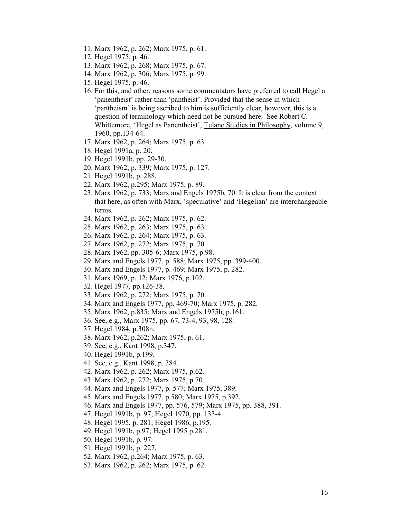- 11. Marx 1962, p. 262; Marx 1975, p. 61.
- 12. Hegel 1975, p. 46.
- 13. Marx 1962, p. 268; Marx 1975, p. 67.
- 14. Marx 1962, p. 306; Marx 1975, p. 99.
- 15. Hegel 1975, p. 46.
- 16. For this, and other, reasons some commentators have preferred to call Hegel a 'panentheist' rather than 'pantheist'. Provided that the sense in which 'pantheism' is being ascribed to him is sufficiently clear, however, this is a question of terminology which need not be pursued here. See Robert C. Whittemore, 'Hegel as Panentheist', Tulane Studies in Philosophy, volume 9, 1960, pp.134-64.
- 17. Marx 1962, p. 264; Marx 1975, p. 63.
- 18. Hegel 1991a, p. 20.
- 19. Hegel 1991b, pp. 29-30.
- 20. Marx 1962, p. 339; Marx 1975, p. 127.
- 21. Hegel 1991b, p. 288.
- 22. Marx 1962, p.295; Marx 1975, p. 89.
- 23. Marx 1962, p. 733; Marx and Engels 1975b, 70. It is clear from the context that here, as often with Marx, 'speculative' and 'Hegelian' are interchangeable terms.
- 24. Marx 1962, p. 262; Marx 1975, p. 62.
- 25. Marx 1962, p. 263; Marx 1975, p. 63.
- 26. Marx 1962, p. 264; Marx 1975, p. 63.
- 27. Marx 1962, p. 272; Marx 1975, p. 70.
- 28. Marx 1962, pp. 305-6; Marx 1975, p.98.
- 29. Marx and Engels 1977, p. 588; Marx 1975, pp. 399-400.
- 30. Marx and Engels 1977, p. 469; Marx 1975, p. 282.
- 31. Marx 1969, p. 12; Marx 1976, p.102.
- 32. Hegel 1977, pp.126-38.
- 33. Marx 1962, p. 272; Marx 1975, p. 70.
- 34. Marx and Engels 1977, pp. 469-70; Marx 1975, p. 282.
- 35. Marx 1962, p.835; Marx and Engels 1975b, p.161.
- 36. See, e.g., Marx 1975, pp. 67, 73-4, 93, 98, 128.
- 37. Hegel 1984, p.308n.
- 38. Marx 1962, p.262; Marx 1975, p. 61.
- 39. See, e.g., Kant 1998, p.347.
- 40. Hegel 1991b, p.199.
- 41. See, e.g., Kant 1998, p. 384.
- 42. Marx 1962, p. 262; Marx 1975, p.62.
- 43. Marx 1962, p. 272; Marx 1975, p.70.
- 44. Marx and Engels 1977, p. 577; Marx 1975, 389.
- 45. Marx and Engels 1977, p.580; Marx 1975, p.392.
- 46. Marx and Engels 1977, pp. 576, 579; Marx 1975, pp. 388, 391.
- 47. Hegel 1991b, p. 97; Hegel 1970, pp. 133-4.
- 48. Hegel 1995, p. 281; Hegel 1986, p.195.
- 49. Hegel 1991b, p.97; Hegel 1995 p.281.
- 50. Hegel 1991b, p. 97.
- 51. Hegel 1991b, p. 227.
- 52. Marx 1962, p.264; Marx 1975, p. 63.
- 53. Marx 1962, p. 262; Marx 1975, p. 62.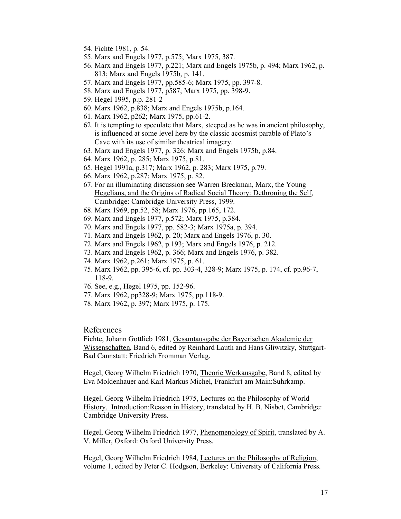- 54. Fichte 1981, p. 54.
- 55. Marx and Engels 1977, p.575; Marx 1975, 387.
- 56. Marx and Engels 1977, p.221; Marx and Engels 1975b, p. 494; Marx 1962, p. 813; Marx and Engels 1975b, p. 141.
- 57. Marx and Engels 1977, pp.585-6; Marx 1975, pp. 397-8.
- 58. Marx and Engels 1977, p587; Marx 1975, pp. 398-9.
- 59. Hegel 1995, p.p. 281-2
- 60. Marx 1962, p.838; Marx and Engels 1975b, p.164.
- 61. Marx 1962, p262; Marx 1975, pp.61-2.
- 62. It is tempting to speculate that Marx, steeped as he was in ancient philosophy, is influenced at some level here by the classic acosmist parable of Plato's Cave with its use of similar theatrical imagery.
- 63. Marx and Engels 1977, p. 326; Marx and Engels 1975b, p.84.
- 64. Marx 1962, p. 285; Marx 1975, p.81.
- 65. Hegel 1991a, p.317; Marx 1962, p. 283; Marx 1975, p.79.
- 66. Marx 1962, p.287; Marx 1975, p. 82.
- 67. For an illuminating discussion see Warren Breckman, Marx, the Young Hegelians, and the Origins of Radical Social Theory: Dethroning the Self, Cambridge: Cambridge University Press, 1999.
- 68. Marx 1969, pp.52, 58; Marx 1976, pp.165, 172.
- 69. Marx and Engels 1977, p.572; Marx 1975, p.384.
- 70. Marx and Engels 1977, pp. 582-3; Marx 1975a, p. 394.
- 71. Marx and Engels 1962, p. 20; Marx and Engels 1976, p. 30.
- 72. Marx and Engels 1962, p.193; Marx and Engels 1976, p. 212.
- 73. Marx and Engels 1962, p. 366; Marx and Engels 1976, p. 382.
- 74. Marx 1962, p.261; Marx 1975, p. 61.
- 75. Marx 1962, pp. 395-6, cf. pp. 303-4, 328-9; Marx 1975, p. 174, cf. pp.96-7, 118-9.
- 76. See, e.g., Hegel 1975, pp. 152-96.
- 77. Marx 1962, pp328-9; Marx 1975, pp.118-9.
- 78. Marx 1962, p. 397; Marx 1975, p. 175.

References

Fichte, Johann Gottlieb 1981, Gesamtausgabe der Bayerischen Akademie der Wissenschaften, Band 6, edited by Reinhard Lauth and Hans Gliwitzky, Stuttgart-Bad Cannstatt: Friedrich Fromman Verlag.

Hegel, Georg Wilhelm Friedrich 1970, Theorie Werkausgabe, Band 8, edited by Eva Moldenhauer and Karl Markus Michel, Frankfurt am Main:Suhrkamp.

Hegel, Georg Wilhelm Friedrich 1975, Lectures on the Philosophy of World History. Introduction:Reason in History, translated by H. B. Nisbet, Cambridge: Cambridge University Press.

Hegel, Georg Wilhelm Friedrich 1977, Phenomenology of Spirit, translated by A. V. Miller, Oxford: Oxford University Press.

Hegel, Georg Wilhelm Friedrich 1984, Lectures on the Philosophy of Religion, volume 1, edited by Peter C. Hodgson, Berkeley: University of California Press.